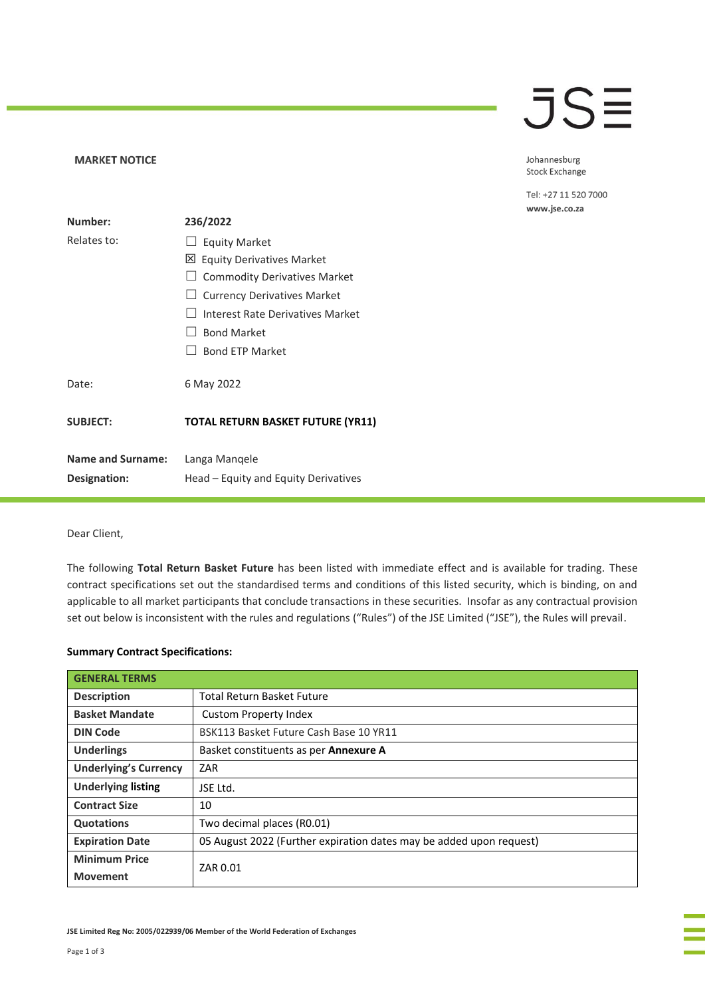### **JSE**

#### Johannesburg Stock Exchange

Tel: +27 11 520 7000 www.jse.co.za

| Number:                  | 236/2022                                 |  |
|--------------------------|------------------------------------------|--|
| Relates to:              | <b>Equity Market</b><br>LI.              |  |
|                          | 凶 Equity Derivatives Market              |  |
|                          | <b>Commodity Derivatives Market</b>      |  |
|                          | $\Box$ Currency Derivatives Market       |  |
|                          | Interest Rate Derivatives Market         |  |
|                          | <b>Bond Market</b>                       |  |
|                          | <b>Bond ETP Market</b>                   |  |
| Date:                    | 6 May 2022                               |  |
| <b>SUBJECT:</b>          | <b>TOTAL RETURN BASKET FUTURE (YR11)</b> |  |
| <b>Name and Surname:</b> | Langa Mangele                            |  |
| <b>Designation:</b>      | Head – Equity and Equity Derivatives     |  |

### Dear Client,

**MARKET NOTICE** 

The following **Total Return Basket Future** has been listed with immediate effect and is available for trading. These contract specifications set out the standardised terms and conditions of this listed security, which is binding, on and applicable to all market participants that conclude transactions in these securities. Insofar as any contractual provision set out below is inconsistent with the rules and regulations ("Rules") of the JSE Limited ("JSE"), the Rules will prevail.

### **Summary Contract Specifications:**

| <b>GENERAL TERMS</b>         |                                                                     |  |  |
|------------------------------|---------------------------------------------------------------------|--|--|
| <b>Description</b>           | <b>Total Return Basket Future</b>                                   |  |  |
| <b>Basket Mandate</b>        | <b>Custom Property Index</b>                                        |  |  |
| <b>DIN Code</b>              | BSK113 Basket Future Cash Base 10 YR11                              |  |  |
| <b>Underlings</b>            | Basket constituents as per Annexure A                               |  |  |
| <b>Underlying's Currency</b> | ZAR                                                                 |  |  |
| <b>Underlying listing</b>    | JSE Ltd.                                                            |  |  |
| <b>Contract Size</b>         | 10                                                                  |  |  |
| <b>Quotations</b>            | Two decimal places (R0.01)                                          |  |  |
| <b>Expiration Date</b>       | 05 August 2022 (Further expiration dates may be added upon request) |  |  |
| <b>Minimum Price</b>         | ZAR 0.01                                                            |  |  |
| <b>Movement</b>              |                                                                     |  |  |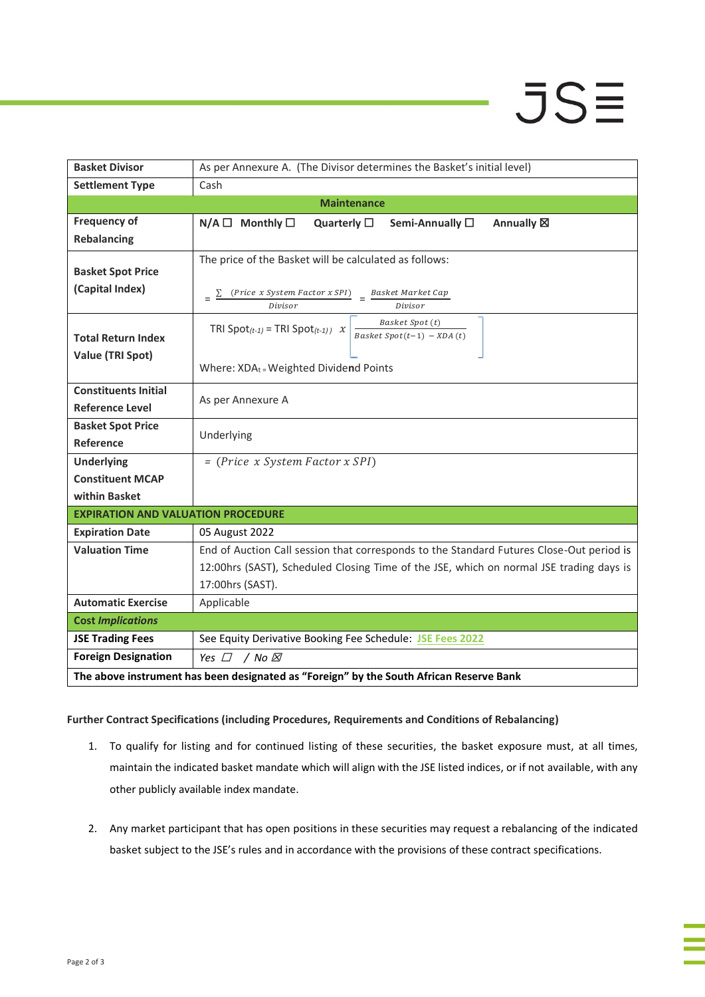# **JSE**

| <b>Basket Divisor</b>                                                                   | As per Annexure A. (The Divisor determines the Basket's initial level)                                    |  |  |  |  |  |  |
|-----------------------------------------------------------------------------------------|-----------------------------------------------------------------------------------------------------------|--|--|--|--|--|--|
| <b>Settlement Type</b>                                                                  | Cash                                                                                                      |  |  |  |  |  |  |
| <b>Maintenance</b>                                                                      |                                                                                                           |  |  |  |  |  |  |
| <b>Frequency of</b>                                                                     | $N/A \Box$ Monthly $\square$<br>Quarterly $\square$<br>Semi-Annually □<br>Annually <b>図</b>               |  |  |  |  |  |  |
| <b>Rebalancing</b>                                                                      |                                                                                                           |  |  |  |  |  |  |
|                                                                                         | The price of the Basket will be calculated as follows:                                                    |  |  |  |  |  |  |
| <b>Basket Spot Price</b>                                                                |                                                                                                           |  |  |  |  |  |  |
| (Capital Index)                                                                         | $\frac{(Price \ x System Factor \ x SPI)}{Division} = \frac{Basket \ Market \ Cap}{Divisor}$              |  |  |  |  |  |  |
|                                                                                         |                                                                                                           |  |  |  |  |  |  |
|                                                                                         | Basket Spot (t)<br>TRI Spot <sub>(t-1)</sub> = TRI Spot <sub>(t-1)</sub> x<br>Basket Spot(t-1) - $XDA(t)$ |  |  |  |  |  |  |
| <b>Total Return Index</b>                                                               |                                                                                                           |  |  |  |  |  |  |
| Value (TRI Spot)                                                                        | Where: XDAt = Weighted Dividend Points                                                                    |  |  |  |  |  |  |
|                                                                                         |                                                                                                           |  |  |  |  |  |  |
| <b>Constituents Initial</b>                                                             | As per Annexure A                                                                                         |  |  |  |  |  |  |
| <b>Reference Level</b>                                                                  |                                                                                                           |  |  |  |  |  |  |
| <b>Basket Spot Price</b>                                                                | Underlying                                                                                                |  |  |  |  |  |  |
| Reference                                                                               |                                                                                                           |  |  |  |  |  |  |
| <b>Underlying</b>                                                                       | = (Price x System Factor x SPI)                                                                           |  |  |  |  |  |  |
| <b>Constituent MCAP</b>                                                                 |                                                                                                           |  |  |  |  |  |  |
| within Basket                                                                           |                                                                                                           |  |  |  |  |  |  |
| <b>EXPIRATION AND VALUATION PROCEDURE</b>                                               |                                                                                                           |  |  |  |  |  |  |
| <b>Expiration Date</b>                                                                  | 05 August 2022                                                                                            |  |  |  |  |  |  |
| <b>Valuation Time</b>                                                                   | End of Auction Call session that corresponds to the Standard Futures Close-Out period is                  |  |  |  |  |  |  |
|                                                                                         | 12:00hrs (SAST), Scheduled Closing Time of the JSE, which on normal JSE trading days is                   |  |  |  |  |  |  |
|                                                                                         | 17:00hrs (SAST).                                                                                          |  |  |  |  |  |  |
| <b>Automatic Exercise</b>                                                               | Applicable                                                                                                |  |  |  |  |  |  |
| <b>Cost Implications</b>                                                                |                                                                                                           |  |  |  |  |  |  |
| <b>JSE Trading Fees</b>                                                                 | See Equity Derivative Booking Fee Schedule: JSE Fees 2022                                                 |  |  |  |  |  |  |
| <b>Foreign Designation</b>                                                              | Yes $\Box$<br>/ No ⊠                                                                                      |  |  |  |  |  |  |
| The above instrument has been designated as "Foreign" by the South African Reserve Bank |                                                                                                           |  |  |  |  |  |  |

### **Further Contract Specifications (including Procedures, Requirements and Conditions of Rebalancing)**

- 1. To qualify for listing and for continued listing of these securities, the basket exposure must, at all times, maintain the indicated basket mandate which will align with the JSE listed indices, or if not available, with any other publicly available index mandate.
- 2. Any market participant that has open positions in these securities may request a rebalancing of the indicated basket subject to the JSE's rules and in accordance with the provisions of these contract specifications.